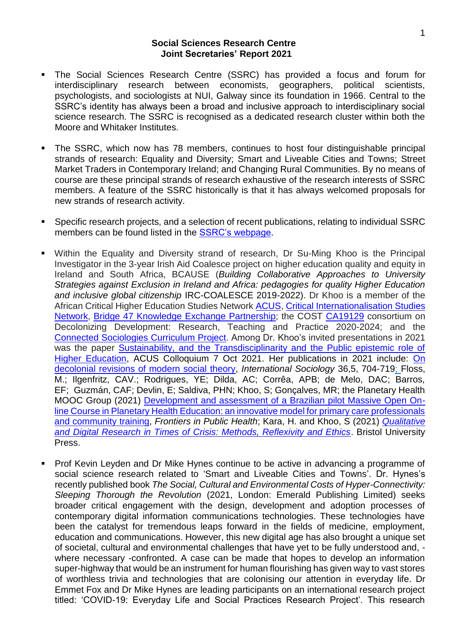## **Social Sciences Research Centre Joint Secretaries' Report 2021**

- The Social Sciences Research Centre (SSRC) has provided a focus and forum for interdisciplinary research between economists, geographers, political scientists, psychologists, and sociologists at NUI, Galway since its foundation in 1966. Central to the SSRC's identity has always been a broad and inclusive approach to interdisciplinary social science research. The SSRC is recognised as a dedicated research cluster within both the Moore and Whitaker Institutes.
- The SSRC, which now has 78 members, continues to host four distinguishable principal strands of research: Equality and Diversity; Smart and Liveable Cities and Towns; Street Market Traders in Contemporary Ireland; and Changing Rural Communities. By no means of course are these principal strands of research exhaustive of the research interests of SSRC members. A feature of the SSRC historically is that it has always welcomed proposals for new strands of research activity.
- Specific research projects, and a selection of recent publications, relating to individual SSRC members can be found listed in the [SSRC's webpage.](http://ssrc.ie/research.html)
- Within the Equality and Diversity strand of research, Dr Su-Ming Khoo is the Principal Investigator in the 3-year Irish Aid Coalesce project on higher education quality and equity in Ireland and South Africa, BCAUSE (*Building Collaborative Approaches to University Strategies against Exclusion in Ireland and Africa: pedagogies for quality Higher Education and inclusive global citizenship* IRC-COALESCE 2019-2022). Dr Khoo is a member of the African Critical Higher Education Studies Network [ACUS,](https://www.acusafrica.com/) Critical [Internationalisation](https://criticalinternationalization.net/) Studies [Network,](https://criticalinternationalization.net/) Bridge 47 Knowledge Exchange [Partnership;](https://www.bridge47.org/about) the COST [CA19129](https://www.cost.eu/actions/CA19129/#tabs|Name:overview) consortium on Decolonizing Development: Research, Teaching and Practice 2020-2024; and the Connected [Sociologies](https://connectedsociologies.org/) Curriculum Project. Among Dr. Khoo's invited presentations in 2021 was the paper [Sustainability, and the Transdisciplinarity and the Public epistemic role of](https://youtu.be/4AVr97TGqIA)  [Higher Education,](https://youtu.be/4AVr97TGqIA) ACUS Colloquium 7 Oct 2021. Her publications in 2021 include: On [decolonial revisions of modern social theory,](https://doi.org/10.1177/02685809211057468) *International Sociology* 36,5, 704-719; Floss, M.; Ilgenfritz, CAV.; Rodrigues, YE; Dilda, AC; Corrêa, APB; de Melo, DAC; Barros, EF; Guzmán, CAF; Devlin, E; Saldiva, PHN; Khoo, S; Gonçalves, MR; the Planetary Health MOOC Group (2021) [Development and assessment of a Brazilian pilot Massive Open On](https://www.frontiersin.org/articles/10.3389/fpubh.2021.663783/full)[line Course in Planetary Health Education: an innovative model for primary care professionals](https://www.frontiersin.org/articles/10.3389/fpubh.2021.663783/full)  [and community training,](https://www.frontiersin.org/articles/10.3389/fpubh.2021.663783/full) *Frontiers in Public Health*; Kara, H. and Khoo, S (2021) *[Qualitative](https://policy.bristoluniversitypress.co.uk/qualitative-and-digital-research-in-times-of-crisis)  [and Digital Research in Times of Crisis: Methods, Reflexivity and Ethics](https://policy.bristoluniversitypress.co.uk/qualitative-and-digital-research-in-times-of-crisis)*. Bristol University Press.
- Prof Kevin Leyden and Dr Mike Hynes continue to be active in advancing a programme of social science research related to 'Smart and Liveable Cities and Towns'. Dr. Hynes's recently published book *The Social, Cultural and Environmental Costs of Hyper-Connectivity: Sleeping Thorough the Revolution* (2021, London: Emerald Publishing Limited) seeks broader critical engagement with the design, development and adoption processes of contemporary digital information communications technologies. These technologies have been the catalyst for tremendous leaps forward in the fields of medicine, employment, education and communications. However, this new digital age has also brought a unique set of societal, cultural and environmental challenges that have yet to be fully understood and, where necessary -confronted. A case can be made that hopes to develop an information super-highway that would be an instrument for human flourishing has given way to vast stores of worthless trivia and technologies that are colonising our attention in everyday life. Dr Emmet Fox and Dr Mike Hynes are leading participants on an international research project titled: 'COVID-19: Everyday Life and Social Practices Research Project'. This research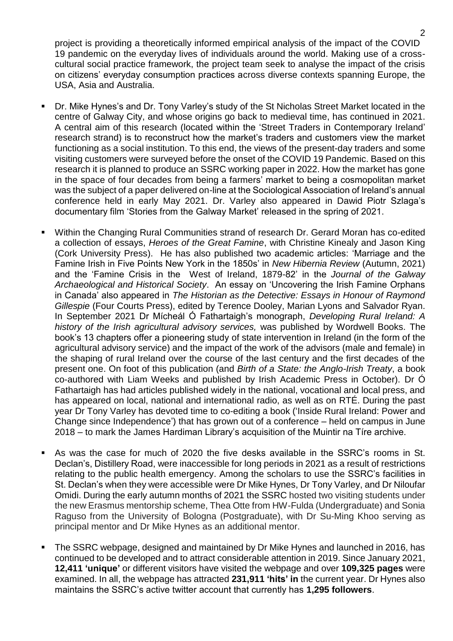project is providing a theoretically informed empirical analysis of the impact of the COVID 19 pandemic on the everyday lives of individuals around the world. Making use of a crosscultural social practice framework, the project team seek to analyse the impact of the crisis on citizens' everyday consumption practices across diverse contexts spanning Europe, the USA, Asia and Australia.

- Dr. Mike Hynes's and Dr. Tony Varley's study of the St Nicholas Street Market located in the centre of Galway City, and whose origins go back to medieval time, has continued in 2021. A central aim of this research (located within the 'Street Traders in Contemporary Ireland' research strand) is to reconstruct how the market's traders and customers view the market functioning as a social institution. To this end, the views of the present-day traders and some visiting customers were surveyed before the onset of the COVID 19 Pandemic. Based on this research it is planned to produce an SSRC working paper in 2022. How the market has gone in the space of four decades from being a farmers' market to being a cosmopolitan market was the subject of a paper delivered on-line at the Sociological Association of Ireland's annual conference held in early May 2021. Dr. Varley also appeared in Dawid Piotr Szlaga's documentary film 'Stories from the Galway Market' released in the spring of 2021.
- Within the Changing Rural Communities strand of research Dr. Gerard Moran has co-edited a collection of essays, *Heroes of the Great Famine*, with Christine Kinealy and Jason King (Cork University Press). He has also published two academic articles: 'Marriage and the Famine Irish in Five Points New York in the 1850s' in *New Hibernia Review* (Autumn, 2021) and the 'Famine Crisis in the West of Ireland, 1879-82' in the *Journal of the Galway Archaeological and Historical Society*. An essay on 'Uncovering the Irish Famine Orphans in Canada' also appeared in *The Historian as the Detective: Essays in Honour of Raymond Gillespie* (Four Courts Press), edited by Terence Dooley, Marian Lyons and Salvador Ryan. In September 2021 Dr Mícheál Ó Fathartaigh's monograph, *Developing Rural Ireland: A history of the Irish agricultural advisory services,* was published by Wordwell Books. The book's 13 chapters offer a pioneering study of state intervention in Ireland (in the form of the agricultural advisory service) and the impact of the work of the advisors (male and female) in the shaping of rural Ireland over the course of the last century and the first decades of the present one. On foot of this publication (and *Birth of a State: the Anglo-Irish Treaty*, a book co-authored with Liam Weeks and published by Irish Academic Press in October). Dr Ó Fathartaigh has had articles published widely in the national, vocational and local press, and has appeared on local, national and international radio, as well as on RTÉ. During the past year Dr Tony Varley has devoted time to co-editing a book ('Inside Rural Ireland: Power and Change since Independence') that has grown out of a conference – held on campus in June 2018 – to mark the James Hardiman Library's acquisition of the Muintir na Tíre archive.
- As was the case for much of 2020 the five desks available in the SSRC's rooms in St. Declan's, Distillery Road, were inaccessible for long periods in 2021 as a result of restrictions relating to the public health emergency. Among the scholars to use the SSRC's facilities in St. Declan's when they were accessible were Dr Mike Hynes, Dr Tony Varley, and Dr Niloufar Omidi. During the early autumn months of 2021 the SSRC hosted two visiting students under the new Erasmus mentorship scheme, Thea Otte from HW-Fulda (Undergraduate) and Sonia Raguso from the University of Bologna (Postgraduate), with Dr Su-Ming Khoo serving as principal mentor and Dr Mike Hynes as an additional mentor.
- The SSRC webpage, designed and maintained by Dr Mike Hynes and launched in 2016, has continued to be developed and to attract considerable attention in 2019. Since January 2021, **12,411 'unique'** or different visitors have visited the webpage and over **109,325 pages** were examined. In all, the webpage has attracted **231,911 'hits' in** the current year. Dr Hynes also maintains the SSRC's active twitter account that currently has **1,295 followers**.